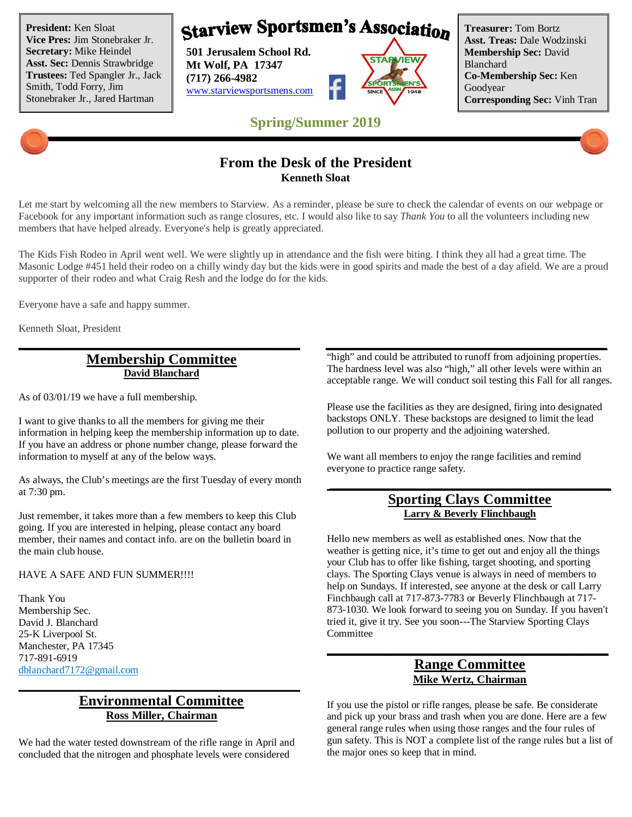**President:** Ken Sloat **Vice Pres:** Jim Stonebraker Jr. **Secretary:** Mike Heindel **Asst. Sec:** Dennis Strawbridge **Trustees:** Ted Spangler Jr., Jack Smith, Todd Forry, Jim Stonebraker Jr., Jared Hartman

**Starview Sportsmen's Association** 

**501 Jerusalem School Rd. Mt Wolf, PA 17347 (717) 266-4982** www.starviewsportsmens.com



**Treasurer:** Tom Bortz **Asst. Treas:** Dale Wodzinski **Membership Sec:** David Blanchard **Co-Membership Sec:** Ken Goodyear **Corresponding Sec:** Vinh Tran

## **Spring/Summer 2019**

### **From the Desk of the President Kenneth Sloat**

Let me start by welcoming all the new members to Starview. As a reminder, please be sure to check the calendar of events on our webpage or Facebook for any important information such as range closures, etc. I would also like to say *Thank You* to all the volunteers including new members that have helped already. Everyone's help is greatly appreciated.

The Kids Fish Rodeo in April went well. We were slightly up in attendance and the fish were biting. I think they all had a great time. The Masonic Lodge #451 held their rodeo on a chilly windy day but the kids were in good spirits and made the best of a day afield. We are a proud supporter of their rodeo and what Craig Resh and the lodge do for the kids.

**\_\_\_\_\_\_\_\_\_\_\_\_\_\_\_\_\_\_\_\_\_\_\_\_\_\_\_\_\_\_\_\_\_\_\_\_\_\_\_ \_\_\_\_\_\_\_\_\_\_\_\_\_\_\_\_\_\_\_\_\_\_\_\_\_\_\_\_\_\_\_\_\_\_\_\_\_\_\_**

Everyone have a safe and happy summer.

Kenneth Sloat, President

### **Membership Committee David Blanchard**

As of 03/01/19 we have a full membership.

I want to give thanks to all the members for giving me their information in helping keep the membership information up to date. If you have an address or phone number change, please forward the information to myself at any of the below ways.

As always, the Club's meetings are the first Tuesday of every month at 7:30 pm.

Just remember, it takes more than a few members to keep this Club going. If you are interested in helping, please contact any board member, their names and contact info. are on the bulletin board in the main club house.

#### HAVE A SAFE AND FUN SUMMER!!!!

Thank You Membership Sec. David J. Blanchard 25-K Liverpool St. Manchester, PA 17345 717-891-6919 dblanchard7172@gmail.com

### **Environmental Committee Ross Miller, Chairman**

**\_\_\_\_\_\_\_\_\_\_\_\_\_\_\_\_\_\_\_\_\_\_\_\_\_\_\_\_\_\_\_\_\_\_\_\_\_\_\_**

We had the water tested downstream of the rifle range in April and concluded that the nitrogen and phosphate levels were considered

"high" and could be attributed to runoff from adjoining properties. The hardness level was also "high," all other levels were within an acceptable range. We will conduct soil testing this Fall for all ranges.

Please use the facilities as they are designed, firing into designated backstops ONLY. These backstops are designed to limit the lead pollution to our property and the adjoining watershed.

We want all members to enjoy the range facilities and remind everyone to practice range safety.

### **Sporting Clays Committee Larry & Beverly Flinchbaugh**

**\_\_\_\_\_\_\_\_\_\_\_\_\_\_\_\_\_\_\_\_\_\_\_\_\_\_\_\_\_\_\_\_\_\_\_\_\_\_\_**

Hello new members as well as established ones. Now that the weather is getting nice, it's time to get out and enjoy all the things your Club has to offer like fishing, target shooting, and sporting clays. The Sporting Clays venue is always in need of members to help on Sundays. If interested, see anyone at the desk or call Larry Finchbaugh call at 717-873-7783 or Beverly Flinchbaugh at 717- 873-1030. We look forward to seeing you on Sunday. If you haven't tried it, give it try. See you soon---The Starview Sporting Clays Committee

### **Range Committee Mike Wertz, Chairman**

**\_\_\_\_\_\_\_\_\_\_\_\_\_\_\_\_\_\_\_\_\_\_\_\_\_\_\_\_\_\_\_\_\_\_\_\_\_\_\_**

If you use the pistol or rifle ranges, please be safe. Be considerate and pick up your brass and trash when you are done. Here are a few general range rules when using those ranges and the four rules of gun safety. This is NOT a complete list of the range rules but a list of the major ones so keep that in mind.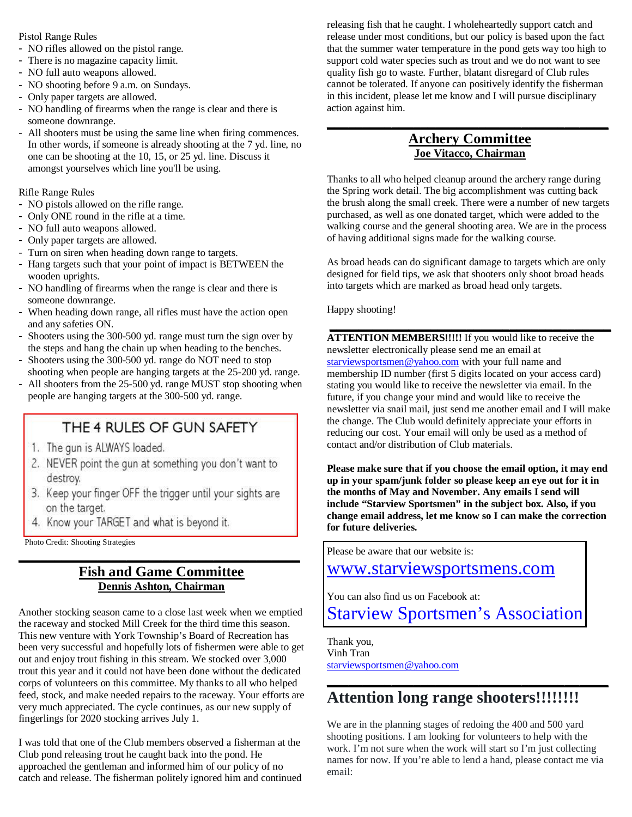#### Pistol Range Rules

- NO rifles allowed on the pistol range.
- There is no magazine capacity limit.
- NO full auto weapons allowed.
- NO shooting before 9 a.m. on Sundays.
- Only paper targets are allowed.
- NO handling of firearms when the range is clear and there is someone downrange.
- All shooters must be using the same line when firing commences. In other words, if someone is already shooting at the 7 yd. line, no one can be shooting at the 10, 15, or 25 yd. line. Discuss it amongst yourselves which line you'll be using.

Rifle Range Rules

- NO pistols allowed on the rifle range.
- Only ONE round in the rifle at a time.
- NO full auto weapons allowed.
- Only paper targets are allowed.
- Turn on siren when heading down range to targets.
- Hang targets such that your point of impact is BETWEEN the wooden uprights.
- NO handling of firearms when the range is clear and there is someone downrange.
- When heading down range, all rifles must have the action open and any safeties ON.
- Shooters using the 300-500 yd. range must turn the sign over by the steps and hang the chain up when heading to the benches.
- Shooters using the 300-500 yd. range do NOT need to stop shooting when people are hanging targets at the 25-200 yd. range.
- All shooters from the 25-500 yd. range MUST stop shooting when people are hanging targets at the 300-500 yd. range.

# THE 4 RULES OF GUN SAFETY

- 1. The gun is ALWAYS loaded.
- 2. NEVER point the gun at something you don't want to destroy.
- 3. Keep your finger OFF the trigger until your sights are on the target.
- 4. Know your TARGET and what is beyond it.

Photo Credit: Shooting Strategies

### **Fish and Game Committee Dennis Ashton, Chairman**

**\_\_\_\_\_\_\_\_\_\_\_\_\_\_\_\_\_\_\_\_\_\_\_\_\_\_\_\_\_\_\_\_\_\_\_\_\_\_\_**

Another stocking season came to a close last week when we emptied the raceway and stocked Mill Creek for the third time this season. This new venture with York Township's Board of Recreation has been very successful and hopefully lots of fishermen were able to get out and enjoy trout fishing in this stream. We stocked over 3,000 trout this year and it could not have been done without the dedicated corps of volunteers on this committee. My thanks to all who helped feed, stock, and make needed repairs to the raceway. Your efforts are very much appreciated. The cycle continues, as our new supply of fingerlings for 2020 stocking arrives July 1.

I was told that one of the Club members observed a fisherman at the Club pond releasing trout he caught back into the pond. He approached the gentleman and informed him of our policy of no catch and release. The fisherman politely ignored him and continued releasing fish that he caught. I wholeheartedly support catch and release under most conditions, but our policy is based upon the fact that the summer water temperature in the pond gets way too high to support cold water species such as trout and we do not want to see quality fish go to waste. Further, blatant disregard of Club rules cannot be tolerated. If anyone can positively identify the fisherman in this incident, please let me know and I will pursue disciplinary action against him.

### **Archery Committee Joe Vitacco, Chairman**

**\_\_\_\_\_\_\_\_\_\_\_\_\_\_\_\_\_\_\_\_\_\_\_\_\_\_\_\_\_\_\_\_\_\_\_\_\_\_\_**

Thanks to all who helped cleanup around the archery range during the Spring work detail. The big accomplishment was cutting back the brush along the small creek. There were a number of new targets purchased, as well as one donated target, which were added to the walking course and the general shooting area. We are in the process of having additional signs made for the walking course.

As broad heads can do significant damage to targets which are only designed for field tips, we ask that shooters only shoot broad heads into targets which are marked as broad head only targets.

**\_\_\_\_\_\_\_\_\_\_\_\_\_\_\_\_\_\_\_\_\_\_\_\_\_\_\_\_\_\_\_\_\_\_\_\_\_\_\_**

Happy shooting!

**ATTENTION MEMBERS!!!!!** If you would like to receive the newsletter electronically please send me an email at starviewsportsmen@yahoo.com with your full name and membership ID number (first 5 digits located on your access card) stating you would like to receive the newsletter via email. In the future, if you change your mind and would like to receive the newsletter via snail mail, just send me another email and I will make the change. The Club would definitely appreciate your efforts in reducing our cost. Your email will only be used as a method of contact and/or distribution of Club materials.

**Please make sure that if you choose the email option, it may end up in your spam/junk folder so please keep an eye out for it in the months of May and November. Any emails I send will include "Starview Sportsmen" in the subject box. Also, if you change email address, let me know so I can make the correction for future deliveries.**

Please be aware that our website is:

www.starviewsportsmens.com

You can also find us on Facebook at:

Starview Sportsmen's Association

Thank you, Vinh Tran starviewsportsmen@yahoo.com

# **Attention long range shooters!!!!!!!!**

We are in the planning stages of redoing the 400 and 500 yard shooting positions. I am looking for volunteers to help with the work. I'm not sure when the work will start so I'm just collecting names for now. If you're able to lend a hand, please contact me via email:

**\_\_\_\_\_\_\_\_\_\_\_\_\_\_\_\_\_\_\_\_\_\_\_\_\_\_\_\_\_\_\_\_\_\_\_\_\_\_\_**